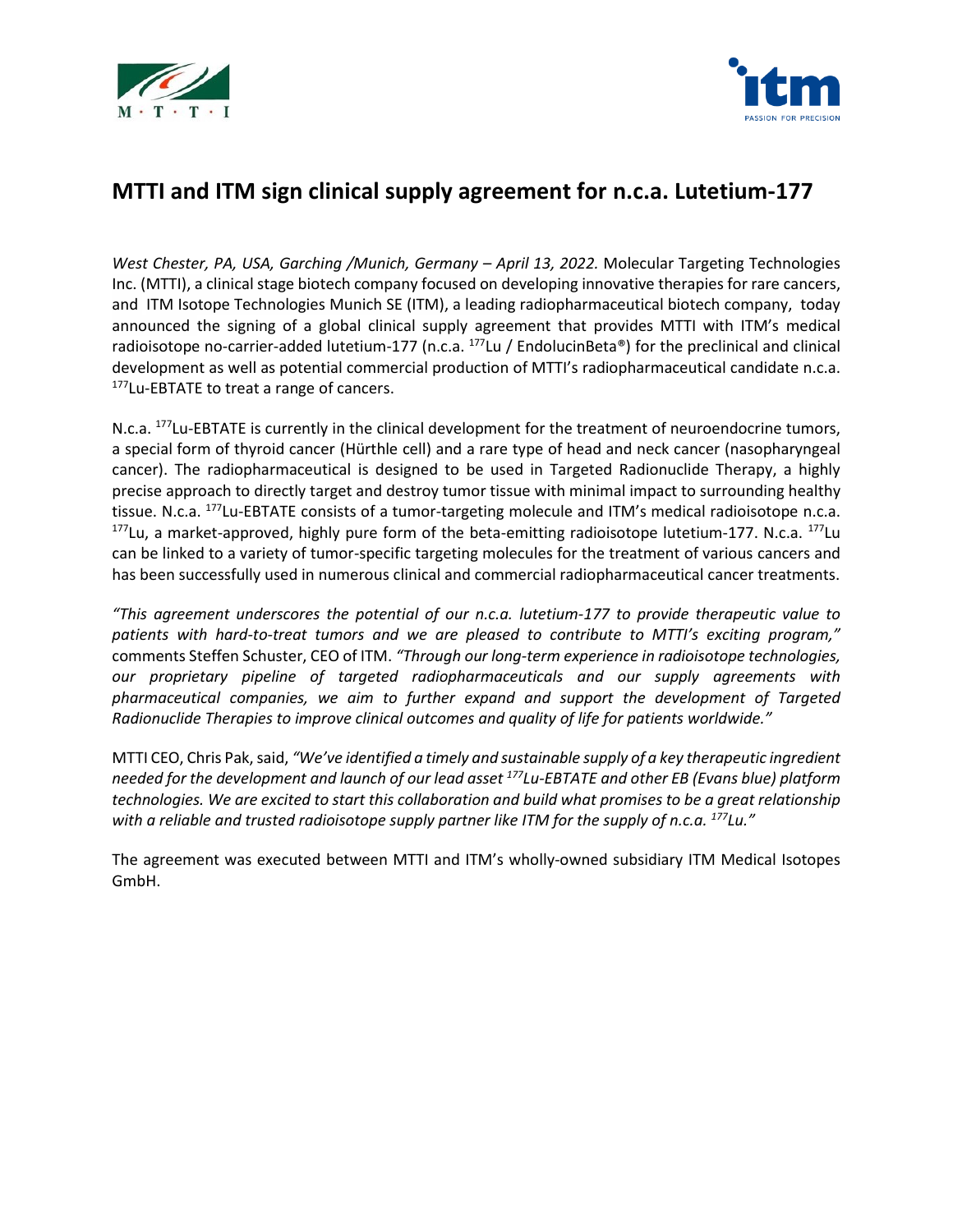



# **MTTI and ITM sign clinical supply agreement for n.c.a. Lutetium-177**

*West Chester, PA, USA, Garching /Munich, Germany – April 13, 2022.* Molecular Targeting Technologies Inc. (MTTI), a clinical stage biotech company focused on developing innovative therapies for rare cancers, and [ITM Isotope Technologies Munich SE \(ITM\),](http://www.itm-radiopharma.com/) a leading radiopharmaceutical biotech company, today announced the signing of a global clinical supply agreement that provides MTTI with ITM's medical radioisotope no-carrier-added lutetium-177 (n.c.a.  $^{177}$ Lu / EndolucinBeta®) for the preclinical and clinical development as well as potential commercial production of MTTI's radiopharmaceutical candidate n.c.a. <sup>177</sup>Lu-EBTATE to treat a range of cancers.

N.c.a. <sup>177</sup>Lu-EBTATE is currently in the clinical development for the treatment of neuroendocrine tumors, a special form of thyroid cancer (Hürthle cell) and a rare type of head and neck cancer (nasopharyngeal cancer). The radiopharmaceutical is designed to be used in Targeted Radionuclide Therapy, a highly precise approach to directly target and destroy tumor tissue with minimal impact to surrounding healthy tissue. N.c.a. <sup>177</sup>Lu-EBTATE consists of a tumor-targeting molecule and ITM's medical radioisotope n.c.a. <sup>177</sup>Lu, a market-approved, highly pure form of the beta-emitting radioisotope lutetium-177. N.c.a. <sup>177</sup>Lu can be linked to a variety of tumor-specific targeting molecules for the treatment of various cancers and has been successfully used in numerous clinical and commercial radiopharmaceutical cancer treatments.

*"This agreement underscores the potential of our n.c.a. lutetium-177 to provide therapeutic value to patients with hard-to-treat tumors and we are pleased to contribute to MTTI's exciting program,"* comments Steffen Schuster, CEO of ITM. *"Through our long-term experience in radioisotope technologies, our proprietary pipeline of targeted radiopharmaceuticals and our supply agreements with pharmaceutical companies, we aim to further expand and support the development of Targeted Radionuclide Therapies to improve clinical outcomes and quality of life for patients worldwide."*

MTTI CEO, Chris Pak,said, *"We've identified a timely and sustainable supply of a key therapeutic ingredient needed for the development and launch of our lead asset <sup>177</sup>Lu-EBTATE and other EB (Evans blue) platform technologies. We are excited to start this collaboration and build what promises to be a great relationship with a reliable and trusted radioisotope supply partner like ITM for the supply of n.c.a. <sup>177</sup>Lu."*

The agreement was executed between MTTI and ITM's wholly-owned subsidiary ITM Medical Isotopes GmbH.